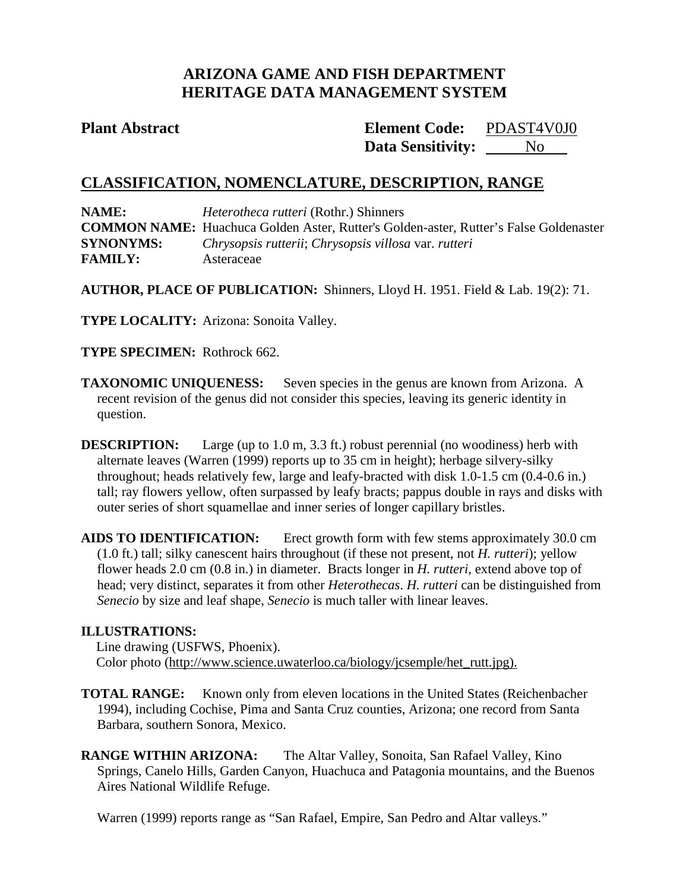# **ARIZONA GAME AND FISH DEPARTMENT HERITAGE DATA MANAGEMENT SYSTEM**

**Plant Abstract Element Code: Data Sensitivity:** PDAST4V0J0 No

# **CLASSIFICATION, NOMENCLATURE, DESCRIPTION, RANGE**

**NAME:** *Heterotheca rutteri* (Rothr.) Shinners **COMMON NAME:** Huachuca Golden Aster, Rutter's Golden-aster, Rutter's False Goldenaster **SYNONYMS:** *Chrysopsis rutterii*; *Chrysopsis villosa* var. *rutteri* **FAMILY:** Asteraceae

**AUTHOR, PLACE OF PUBLICATION:** Shinners, Lloyd H. 1951. Field & Lab. 19(2): 71.

**TYPE LOCALITY:** Arizona: Sonoita Valley.

**TYPE SPECIMEN:** Rothrock 662.

**TAXONOMIC UNIQUENESS:** Seven species in the genus are known from Arizona. A recent revision of the genus did not consider this species, leaving its generic identity in question.

**DESCRIPTION:** Large (up to 1.0 m, 3.3 ft.) robust perennial (no woodiness) herb with alternate leaves (Warren (1999) reports up to 35 cm in height); herbage silvery-silky throughout; heads relatively few, large and leafy-bracted with disk 1.0-1.5 cm (0.4-0.6 in.) tall; ray flowers yellow, often surpassed by leafy bracts; pappus double in rays and disks with outer series of short squamellae and inner series of longer capillary bristles.

**AIDS TO IDENTIFICATION:** Erect growth form with few stems approximately 30.0 cm (1.0 ft.) tall; silky canescent hairs throughout (if these not present, not *H. rutteri*); yellow flower heads 2.0 cm (0.8 in.) in diameter. Bracts longer in *H. rutteri*, extend above top of head; very distinct, separates it from other *Heterothecas*. *H. rutteri* can be distinguished from *Senecio* by size and leaf shape, *Senecio* is much taller with linear leaves.

## **ILLUSTRATIONS:**

Line drawing (USFWS, Phoenix). Color photo (http://www.science.uwaterloo.ca/biology/jcsemple/het\_rutt.jpg).

**TOTAL RANGE:** Known only from eleven locations in the United States (Reichenbacher 1994), including Cochise, Pima and Santa Cruz counties, Arizona; one record from Santa Barbara, southern Sonora, Mexico.

**RANGE WITHIN ARIZONA:** The Altar Valley, Sonoita, San Rafael Valley, Kino Springs, Canelo Hills, Garden Canyon, Huachuca and Patagonia mountains, and the Buenos Aires National Wildlife Refuge.

Warren (1999) reports range as "San Rafael, Empire, San Pedro and Altar valleys."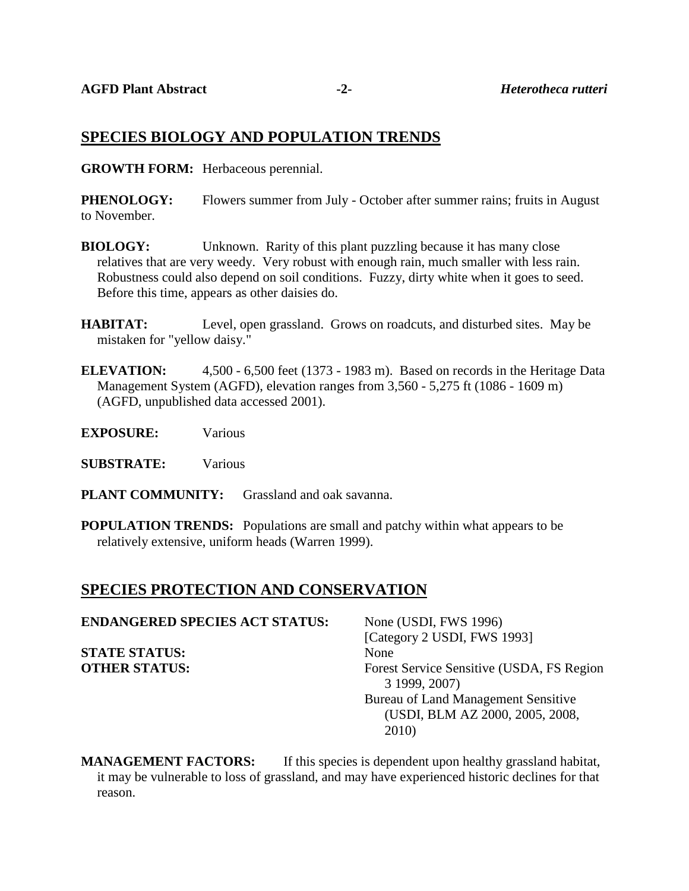## **SPECIES BIOLOGY AND POPULATION TRENDS**

**GROWTH FORM:** Herbaceous perennial.

**PHENOLOGY:** Flowers summer from July - October after summer rains; fruits in August to November.

- **BIOLOGY:** Unknown. Rarity of this plant puzzling because it has many close relatives that are very weedy. Very robust with enough rain, much smaller with less rain. Robustness could also depend on soil conditions. Fuzzy, dirty white when it goes to seed. Before this time, appears as other daisies do.
- **HABITAT:** Level, open grassland. Grows on roadcuts, and disturbed sites. May be mistaken for "yellow daisy."
- **ELEVATION:** 4,500 6,500 feet (1373 1983 m). Based on records in the Heritage Data Management System (AGFD), elevation ranges from 3,560 - 5,275 ft (1086 - 1609 m) (AGFD, unpublished data accessed 2001).
- **EXPOSURE:** Various
- **SUBSTRATE:** Various
- **PLANT COMMUNITY:** Grassland and oak savanna.
- **POPULATION TRENDS:** Populations are small and patchy within what appears to be relatively extensive, uniform heads (Warren 1999).

# **SPECIES PROTECTION AND CONSERVATION**

| <b>ENDANGERED SPECIES ACT STATUS:</b> | None (USDI, FWS 1996)                                      |
|---------------------------------------|------------------------------------------------------------|
|                                       | [Category 2 USDI, FWS 1993]                                |
| <b>STATE STATUS:</b>                  | None                                                       |
| <b>OTHER STATUS:</b>                  | Forest Service Sensitive (USDA, FS Region<br>3 1999, 2007) |
|                                       | Bureau of Land Management Sensitive                        |
|                                       | (USDI, BLM AZ 2000, 2005, 2008,                            |
|                                       | 2010)                                                      |

**MANAGEMENT FACTORS:** If this species is dependent upon healthy grassland habitat, it may be vulnerable to loss of grassland, and may have experienced historic declines for that reason.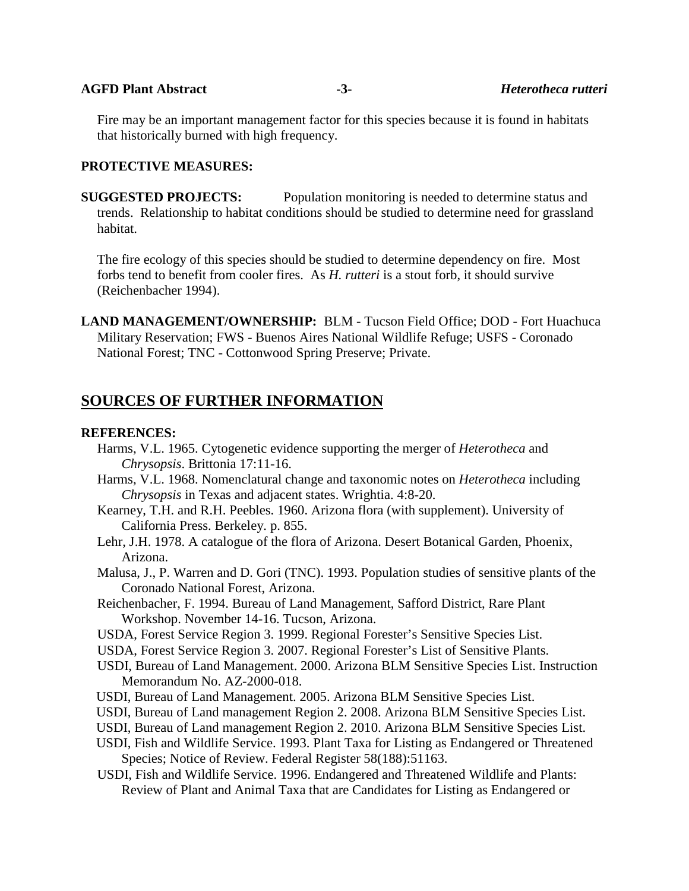#### **AGFD Plant Abstract -3-** *Heterotheca rutteri*

Fire may be an important management factor for this species because it is found in habitats that historically burned with high frequency.

#### **PROTECTIVE MEASURES:**

**SUGGESTED PROJECTS:** Population monitoring is needed to determine status and trends. Relationship to habitat conditions should be studied to determine need for grassland habitat.

The fire ecology of this species should be studied to determine dependency on fire. Most forbs tend to benefit from cooler fires. As *H. rutteri* is a stout forb, it should survive (Reichenbacher 1994).

**LAND MANAGEMENT/OWNERSHIP:** BLM - Tucson Field Office; DOD - Fort Huachuca Military Reservation; FWS - Buenos Aires National Wildlife Refuge; USFS - Coronado National Forest; TNC - Cottonwood Spring Preserve; Private.

## **SOURCES OF FURTHER INFORMATION**

#### **REFERENCES:**

- Harms, V.L. 1965. Cytogenetic evidence supporting the merger of *Heterotheca* and *Chrysopsis*. Brittonia 17:11-16.
- Harms, V.L. 1968. Nomenclatural change and taxonomic notes on *Heterotheca* including *Chrysopsis* in Texas and adjacent states. Wrightia. 4:8-20.
- Kearney, T.H. and R.H. Peebles. 1960. Arizona flora (with supplement). University of California Press. Berkeley. p. 855.
- Lehr, J.H. 1978. A catalogue of the flora of Arizona. Desert Botanical Garden, Phoenix, Arizona.
- Malusa, J., P. Warren and D. Gori (TNC). 1993. Population studies of sensitive plants of the Coronado National Forest, Arizona.
- Reichenbacher, F. 1994. Bureau of Land Management, Safford District, Rare Plant Workshop. November 14-16. Tucson, Arizona.
- USDA, Forest Service Region 3. 1999. Regional Forester's Sensitive Species List.
- USDA, Forest Service Region 3. 2007. Regional Forester's List of Sensitive Plants.
- USDI, Bureau of Land Management. 2000. Arizona BLM Sensitive Species List. Instruction Memorandum No. AZ-2000-018.
- USDI, Bureau of Land Management. 2005. Arizona BLM Sensitive Species List.
- USDI, Bureau of Land management Region 2. 2008. Arizona BLM Sensitive Species List.
- USDI, Bureau of Land management Region 2. 2010. Arizona BLM Sensitive Species List.
- USDI, Fish and Wildlife Service. 1993. Plant Taxa for Listing as Endangered or Threatened Species; Notice of Review. Federal Register 58(188):51163.
- USDI, Fish and Wildlife Service. 1996. Endangered and Threatened Wildlife and Plants: Review of Plant and Animal Taxa that are Candidates for Listing as Endangered or